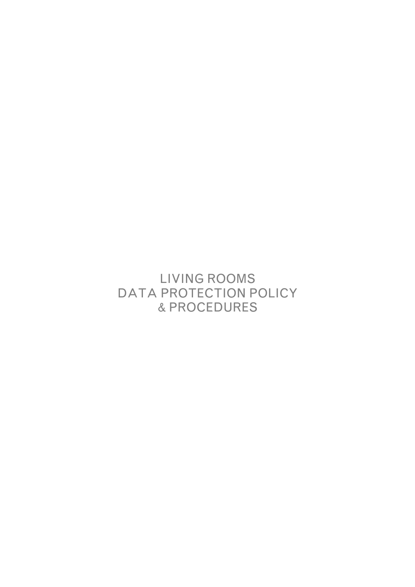# LIVING ROOMS DATA PROTECTION POLICY & PROCEDURES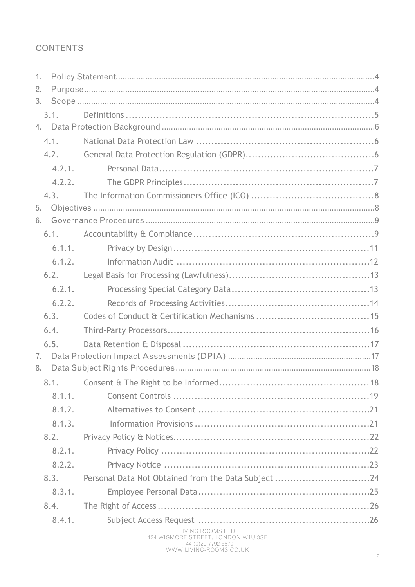## CONTENTS

| 1. |        |                                                                                                         |
|----|--------|---------------------------------------------------------------------------------------------------------|
| 2. |        |                                                                                                         |
| 3. |        |                                                                                                         |
|    | 3.1.   |                                                                                                         |
| 4. |        |                                                                                                         |
|    | 4.1.   |                                                                                                         |
|    | 4.2.   |                                                                                                         |
|    | 4.2.1. |                                                                                                         |
|    | 4.2.2. |                                                                                                         |
|    | 4.3.   |                                                                                                         |
| 5. |        |                                                                                                         |
| 6. |        |                                                                                                         |
|    | 6.1.   |                                                                                                         |
|    | 6.1.1. |                                                                                                         |
|    | 6.1.2. |                                                                                                         |
|    | 6.2.   |                                                                                                         |
|    | 6.2.1. |                                                                                                         |
|    | 6.2.2. |                                                                                                         |
|    | 6.3.   |                                                                                                         |
|    | 6.4.   |                                                                                                         |
|    | 6.5.   |                                                                                                         |
| 7. |        |                                                                                                         |
| 8. |        |                                                                                                         |
|    |        |                                                                                                         |
|    | 8.1.1. |                                                                                                         |
|    | 8.1.2. |                                                                                                         |
|    | 8.1.3. |                                                                                                         |
|    | 8.2.   |                                                                                                         |
|    | 8.2.1. |                                                                                                         |
|    | 8.2.2. |                                                                                                         |
|    | 8.3.   | Personal Data Not Obtained from the Data Subject 24                                                     |
|    | 8.3.1. |                                                                                                         |
|    | 8.4.   |                                                                                                         |
|    | 8.4.1. |                                                                                                         |
|    |        | LIVING ROOMS LTD<br>134 WIGMORE STREET, LONDON W1U 3SE<br>+44 (0)20 7792 6670<br>WWW.LIVING-ROOMS.CO.UK |

 $\overline{2}$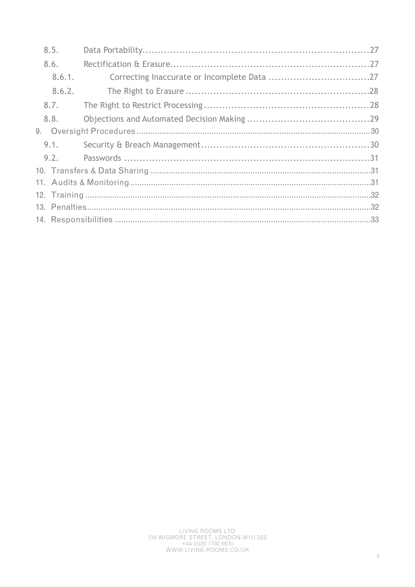| 8.5.   |  |
|--------|--|
| 8.6.   |  |
| 8.6.1. |  |
| 8.6.2. |  |
| 8.7.   |  |
| 8.8.   |  |
|        |  |
| 9.1.   |  |
| 9.2    |  |
|        |  |
|        |  |
|        |  |
|        |  |
|        |  |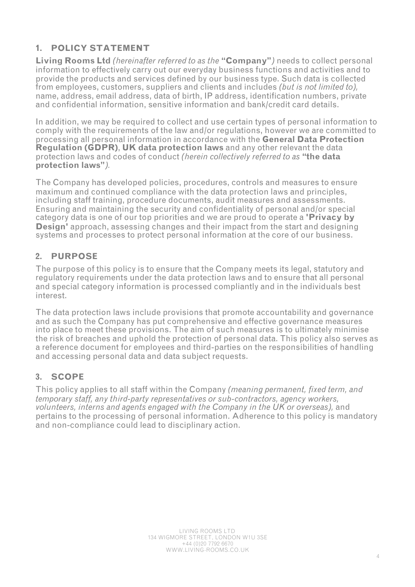## <span id="page-3-0"></span>**1. POLICY STATEMENT**

**Living Rooms Ltd** *(hereinafter referred to as the* **"Company"***)* needs to collect personal information to effectively carry out our everyday business functions and activities and to provide the products and services defined by our business type. Such data is collected from employees, customers, suppliers and clients and includes *(but is not limited to),* name, address, email address, data of birth, IP address, identification numbers, private and confidential information, sensitive information and bank/credit card details.

In addition, we may be required to collect and use certain types of personal information to comply with the requirements of the law and/or regulations, however we are committed to processing all personal information in accordance with the **General Data Protection Regulation (GDPR)**, **UK data protection laws** and any other relevant the data protection laws and codes of conduct *(herein collectively referred to as* **"the data protection laws"***).*

The Company has developed policies, procedures, controls and measures to ensure maximum and continued compliance with the data protection laws and principles, including staff training, procedure documents, audit measures and assessments. Ensuring and maintaining the security and confidentiality of personal and/or special category data is one of our top priorities and we are proud to operate a **'Privacy by Design'** approach, assessing changes and their impact from the start and designing systems and processes to protect personal information at the core of our business.

### <span id="page-3-1"></span>**2. PURPOSE**

The purpose of this policy is to ensure that the Company meets its legal, statutory and regulatory requirements under the data protection laws and to ensure that all personal and special category information is processed compliantly and in the individuals best interest.

The data protection laws include provisions that promote accountability and governance and as such the Company has put comprehensive and effective governance measures into place to meet these provisions. The aim of such measures is to ultimately minimise the risk of breaches and uphold the protection of personal data. This policy also serves as a reference document for employees and third-parties on the responsibilities of handling and accessing personal data and data subject requests.

## <span id="page-3-2"></span>**3. SCOPE**

This policy applies to all staff within the Company *(meaning permanent, fixed term, and temporary staff, any third-party representatives or sub-contractors, agency workers, volunteers, interns and agents engaged with the Company in the UK or overseas),* and pertains to the processing of personal information. Adherence to this policy is mandatory and non-compliance could lead to disciplinary action.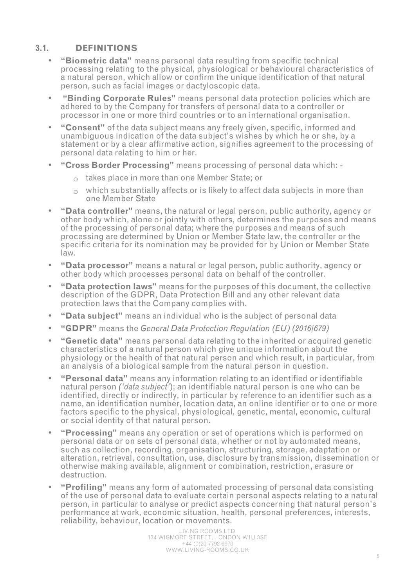### **3.1. DEFINITIONS**

- <span id="page-4-0"></span>• **"Biometric data"** means personal data resulting from specific technical processing relating to the physical, physiological or behavioural characteristics of a natural person, which allow or confirm the unique identification of that natural person, such as facial images or dactyloscopic data.
- • **"Binding Corporate Rules"** means personal data protection policies which are adhered to by the Company for transfers of personal data to a controller or processor in one or more third countries or to an international organisation.
- **"Consent"** of the data subject means any freely given, specific, informed and unambiguous indication of the data subject's wishes by which he or she, by a statement or by a clear affirmative action, signifies agreement to the processing of personal data relating to him or her.
- **"Cross Border Processing"** means processing of personal data which:
	- $\circ$  takes place in more than one Member State; or
	- $\circ$  which substantially affects or is likely to affect data subiects in more than one Member State
- **"Data controller"** means, the natural or legal person, public authority, agency or other body which, alone or jointly with others, determines the purposes and means of the processing of personal data; where the purposes and means of such processing are determined by Union or Member State law, the controller or the specific criteria for its nomination may be provided for by Union or Member State law.
- **"Data processor"** means a natural or legal person, public authority, agency or other body which processes personal data on behalf of the controller.
- **"Data protection laws"** means for the purposes of this document, the collective description of the GDPR, Data Protection Bill and any other relevant data protection laws that the Company complies with.
- **"Data subject"** means an individual who is the subject of personal data
- **"GDPR"** means the *General Data Protection Regulation (EU) (2016/679)*
- **"Genetic data"** means personal data relating to the inherited or acquired genetic characteristics of a natural person which give unique information about the physiology or the health of that natural person and which result, in particular, from an analysis of a biological sample from the natural person in question.
- **"Personal data"** means any information relating to an identified or identifiable natural person *('data subject'*); an identifiable natural person is one who can be identified, directly or indirectly, in particular by reference to an identifier such as a name, an identification number, location data, an online identifier or to one or more factors specific to the physical, physiological, genetic, mental, economic, cultural or social identity of that natural person.
- **"Processing"** means any operation or set of operations which is performed on personal data or on sets of personal data, whether or not by automated means, such as collection, recording, organisation, structuring, storage, adaptation or alteration, retrieval, consultation, use, disclosure by transmission, dissemination or otherwise making available, alignment or combination, restriction, erasure or destruction.
- **"Profiling"** means any form of automated processing of personal data consisting of the use of personal data to evaluate certain personal aspects relating to a natural person, in particular to analyse or predict aspects concerning that natural person's performance at work, economic situation, health, personal preferences, interests, reliability, behaviour, location or movements.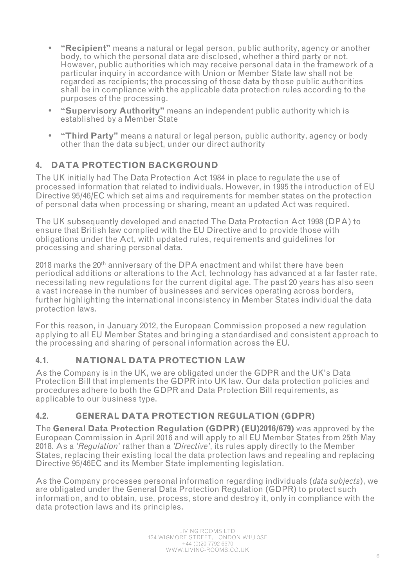- **"Recipient"** means a natural or legal person, public authority, agency or another body, to which the personal data are disclosed, whether a third party or not. However, public authorities which may receive personal data in the framework of a particular inquiry in accordance with Union or Member State law shall not be regarded as recipients; the processing of those data by those public authorities shall be in compliance with the applicable data protection rules according to the purposes of the processing.
- **"Supervisory Authority"** means an independent public authority which is established by a Member State
- **"Third Party"** means a natural or legal person, public authority, agency or body other than the data subject, under our direct authority

## <span id="page-5-0"></span>**4. DATA PROTECTION BACKGROUND**

The UK initially had The Data Protection Act 1984 in place to regulate the use of processed information that related to individuals. However, in 1995 the introduction of EU Directive 95/46/EC which set aims and requirements for member states on the protection of personal data when processing or sharing, meant an updated Act was required.

The UK subsequently developed and enacted The Data Protection Act 1998 (DPA) to ensure that British law complied with the EU Directive and to provide those with obligations under the Act, with updated rules, requirements and guidelines for processing and sharing personal data.

2018 marks the 20th anniversary of the DPA enactment and whilst there have been periodical additions or alterations to the Act, technology has advanced at a far faster rate, necessitating new regulations for the current digital age. The past 20 years has also seen a vast increase in the number of businesses and services operating across borders, further highlighting the international inconsistency in Member States individual the data protection laws.

For this reason, in January 2012, the European Commission proposed a new regulation applying to all EU Member States and bringing a standardised and consistent approach to the processing and sharing of personal information across the EU.

### <span id="page-5-1"></span>**4.1. NATIONAL DATA PROTECTION LAW**

As the Company is in the UK, we are obligated under the GDPR and the UK's Data Protection Bill that implements the GDPR into UK law. Our data protection policies and procedures adhere to both the GDPR and Data Protection Bill requirements, as applicable to our business type.

### <span id="page-5-2"></span>**4.2. GENERAL DATA PROTECTION REGULATION (GDPR)**

The **General Data Protection Regulation (GDPR) (EU)2016/679)** was approved by the European Commission in April 2016 and will apply to all EU Member States from 25th May 2018. As a *'Regulation*' rather than a *'Directive'*, its rules apply directly to the Member States, replacing their existing local the data protection laws and repealing and replacing Directive 95/46EC and its Member State implementing legislation.

As the Company processes personal information regarding individuals (*data subjects*), we are obligated under the General Data Protection Regulation (GDPR) to protect such information, and to obtain, use, process, store and destroy it, only in compliance with the data protection laws and its principles.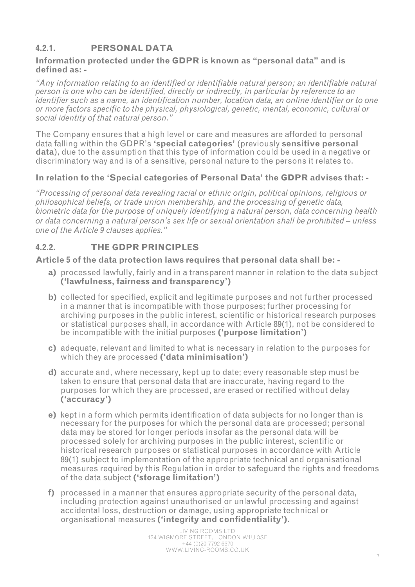### <span id="page-6-0"></span>**4.2.1. PERSONAL DATA**

#### **Information protected under the GDPR is known as "personal data" and is defined as: -**

*"Any information relating to an identified or identifiable natural person; an identifiable natural person is one who can be identified, directly or indirectly, in particular by reference to an identifier such as a name, an identification number, location data, an online identifier or to one or more factors specific to the physical, physiological, genetic, mental, economic, cultural or social identity of that natural person."* 

The Company ensures that a high level or care and measures are afforded to personal data falling within the GDPR's **'special categories'** (previously **sensitive personal data**), due to the assumption that this type of information could be used in a negative or discriminatory way and is of a sensitive, personal nature to the persons it relates to.

#### **In relation to the 'Special categories of Personal Data' the GDPR advises that: -**

*"Processing of personal data revealing racial or ethnic origin, political opinions, religious or philosophical beliefs, or trade union membership, and the processing of genetic data, biometric data for the purpose of uniquely identifying a natural person, data concerning health or data concerning a natural person's sex life or sexual orientation shall be prohibited – unless one of the Article 9 clauses applies."* 

### **4.2.2. THE GDPR PRINCIPLES**

#### **Article 5 of the data protection laws requires that personal data shall be: -**

- <span id="page-6-1"></span>**a)** processed lawfully, fairly and in a transparent manner in relation to the data subject **('lawfulness, fairness and transparency')**
- **b)** collected for specified, explicit and legitimate purposes and not further processed in a manner that is incompatible with those purposes; further processing for archiving purposes in the public interest, scientific or historical research purposes or statistical purposes shall, in accordance with Article 89(1), not be considered to be incompatible with the initial purposes **('purpose limitation')**
- **c)** adequate, relevant and limited to what is necessary in relation to the purposes for which they are processed **('data minimisation')**
- **d)** accurate and, where necessary, kept up to date; every reasonable step must be taken to ensure that personal data that are inaccurate, having regard to the purposes for which they are processed, are erased or rectified without delay **('accuracy')**
- **e)** kept in a form which permits identification of data subjects for no longer than is necessary for the purposes for which the personal data are processed; personal data may be stored for longer periods insofar as the personal data will be processed solely for archiving purposes in the public interest, scientific or historical research purposes or statistical purposes in accordance with Article 89(1) subject to implementation of the appropriate technical and organisational measures required by this Regulation in order to safeguard the rights and freedoms of the data subject **('storage limitation')**
- **f)** processed in a manner that ensures appropriate security of the personal data, including protection against unauthorised or unlawful processing and against accidental loss, destruction or damage, using appropriate technical or organisational measures **('integrity and confidentiality').**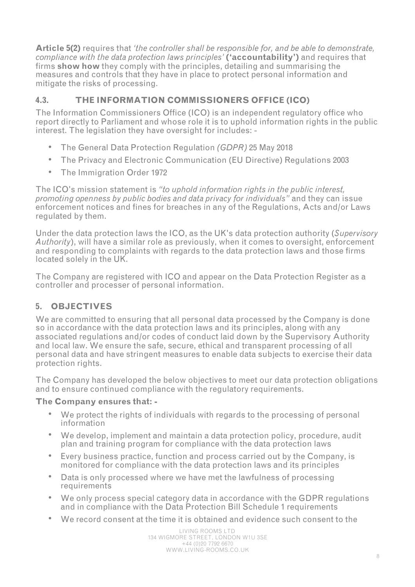**Article 5(2)** requires that *'the controller shall be responsible for, and be able to demonstrate, compliance with the data protection laws principles'* **('accountability')** and requires that firms **show how** they comply with the principles, detailing and summarising the measures and controls that they have in place to protect personal information and mitigate the risks of processing.

### <span id="page-7-0"></span>**4.3. THE INFORMATION COMMISSIONERS OFFICE (ICO)**

The Information Commissioners Office (ICO) is an independent regulatory office who report directly to Parliament and whose role it is to uphold information rights in the public interest. The legislation they have oversight for includes: -

- The General Data Protection Regulation *(GDPR)* 25 May 2018
- The Privacy and Electronic Communication (EU Directive) Regulations 2003
- The Immigration Order 1972

The ICO's mission statement is *"to uphold information rights in the public interest, promoting openness by public bodies and data privacy for individuals"* and they can issue enforcement notices and fines for breaches in any of the Regulations, Acts and/or Laws regulated by them.

Under the data protection laws the ICO, as the UK's data protection authority (*Supervisory Authority*), will have a similar role as previously, when it comes to oversight, enforcement and responding to complaints with regards to the data protection laws and those firms located solely in the UK.

The Company are registered with ICO and appear on the Data Protection Register as a controller and processer of personal information.

## <span id="page-7-1"></span>**5. OBJECTIVES**

We are committed to ensuring that all personal data processed by the Company is done so in accordance with the data protection laws and its principles, along with any associated regulations and/or codes of conduct laid down by the Supervisory Authority and local law. We ensure the safe, secure, ethical and transparent processing of all personal data and have stringent measures to enable data subjects to exercise their data protection rights.

The Company has developed the below objectives to meet our data protection obligations and to ensure continued compliance with the regulatory requirements.

#### **The Company ensures that: -**

- We protect the rights of individuals with regards to the processing of personal information
- We develop, implement and maintain a data protection policy, procedure, audit plan and training program for compliance with the data protection laws
- Every business practice, function and process carried out by the Company, is monitored for compliance with the data protection laws and its principles
- Data is only processed where we have met the lawfulness of processing requirements
- We only process special category data in accordance with the GDPR regulations and in compliance with the Data Protection Bill Schedule 1 requirements
- We record consent at the time it is obtained and evidence such consent to the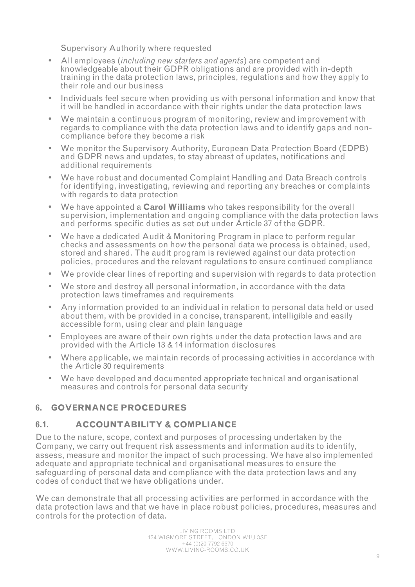Supervisory Authority where requested

- All employees (*including new starters and agents*) are competent and knowledgeable about their GDPR obligations and are provided with in-depth training in the data protection laws, principles, regulations and how they apply to their role and our business
- Individuals feel secure when providing us with personal information and know that it will be handled in accordance with their rights under the data protection laws
- We maintain a continuous program of monitoring, review and improvement with regards to compliance with the data protection laws and to identify gaps and noncompliance before they become a risk
- We monitor the Supervisory Authority, European Data Protection Board (EDPB) and GDPR news and updates, to stay abreast of updates, notifications and additional requirements
- We have robust and documented Complaint Handling and Data Breach controls for identifying, investigating, reviewing and reporting any breaches or complaints with regards to data protection
- We have appointed a **Carol Williams** who takes responsibility for the overall supervision, implementation and ongoing compliance with the data protection laws and performs specific duties as set out under Article 37 of the GDPR.
- We have a dedicated Audit & Monitoring Program in place to perform regular checks and assessments on how the personal data we process is obtained, used, stored and shared. The audit program is reviewed against our data protection policies, procedures and the relevant regulations to ensure continued compliance
- We provide clear lines of reporting and supervision with regards to data protection
- We store and destroy all personal information, in accordance with the data protection laws timeframes and requirements
- Any information provided to an individual in relation to personal data held or used about them, with be provided in a concise, transparent, intelligible and easily accessible form, using clear and plain language
- Employees are aware of their own rights under the data protection laws and are provided with the Article 13 & 14 information disclosures
- Where applicable, we maintain records of processing activities in accordance with the Article 30 requirements
- We have developed and documented appropriate technical and organisational measures and controls for personal data security

## <span id="page-8-0"></span>**6. GOVERNANCE PROCEDURES**

### <span id="page-8-1"></span>**6.1. ACCOUNTABILITY & COMPLIANCE**

Due to the nature, scope, context and purposes of processing undertaken by the Company, we carry out frequent risk assessments and information audits to identify, assess, measure and monitor the impact of such processing. We have also implemented adequate and appropriate technical and organisational measures to ensure the safeguarding of personal data and compliance with the data protection laws and any codes of conduct that we have obligations under.

We can demonstrate that all processing activities are performed in accordance with the data protection laws and that we have in place robust policies, procedures, measures and controls for the protection of data.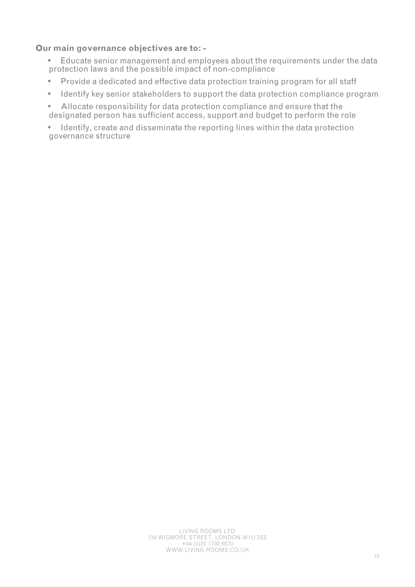#### **Our main governance objectives are to: -**

- Educate senior management and employees about the requirements under the data protection laws and the possible impact of non-compliance
- Provide a dedicated and effective data protection training program for all staff
- Identify key senior stakeholders to support the data protection compliance program
- Allocate responsibility for data protection compliance and ensure that the designated person has sufficient access, support and budget to perform the role

• Identify, create and disseminate the reporting lines within the data protection governance structure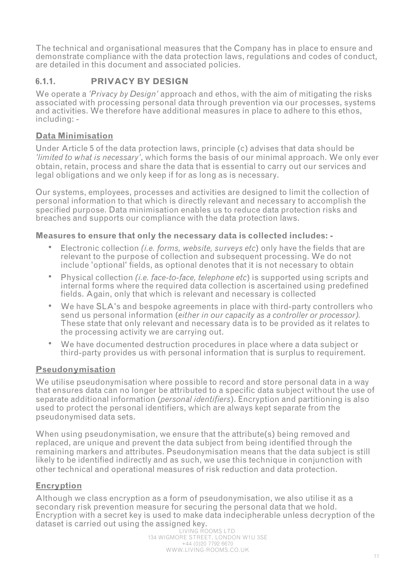The technical and organisational measures that the Company has in place to ensure and demonstrate compliance with the data protection laws, regulations and codes of conduct, are detailed in this document and associated policies.

### <span id="page-10-0"></span>**6.1.1. PRIVACY BY DESIGN**

We operate a *'Privacy by Design'* approach and ethos, with the aim of mitigating the risks associated with processing personal data through prevention via our processes, systems and activities. We therefore have additional measures in place to adhere to this ethos, including: -

#### **Data Minimisation**

Under Article 5 of the data protection laws, principle (c) advises that data should be *'limited to what is necessary'*, which forms the basis of our minimal approach. We only ever obtain, retain, process and share the data that is essential to carry out our services and legal obligations and we only keep if for as long as is necessary.

Our systems, employees, processes and activities are designed to limit the collection of personal information to that which is directly relevant and necessary to accomplish the specified purpose. Data minimisation enables us to reduce data protection risks and breaches and supports our compliance with the data protection laws.

#### **Measures to ensure that only the necessary data is collected includes: -**

- Electronic collection *(i.e. forms, website, surveys etc*) only have the fields that are relevant to the purpose of collection and subsequent processing. We do not include 'optional' fields, as optional denotes that it is not necessary to obtain
- Physical collection *(i.e. face-to-face, telephone etc*) is supported using scripts and internal forms where the required data collection is ascertained using predefined fields. Again, only that which is relevant and necessary is collected
- We have SLA's and bespoke agreements in place with third-party controllers who send us personal information (*either in our capacity as a controller or processor).*  These state that only relevant and necessary data is to be provided as it relates to the processing activity we are carrying out.
- We have documented destruction procedures in place where a data subject or third-party provides us with personal information that is surplus to requirement.

#### **Pseudonymisation**

We utilise pseudonymisation where possible to record and store personal data in a way that ensures data can no longer be attributed to a specific data subject without the use of separate additional information (*personal identifiers*). Encryption and partitioning is also used to protect the personal identifiers, which are always kept separate from the pseudonymised data sets.

When using pseudonymisation, we ensure that the attribute(s) being removed and replaced, are unique and prevent the data subject from being identified through the remaining markers and attributes. Pseudonymisation means that the data subject is still likely to be identified indirectly and as such, we use this technique in conjunction with other technical and operational measures of risk reduction and data protection.

### **Encryption**

Although we class encryption as a form of pseudonymisation, we also utilise it as a secondary risk prevention measure for securing the personal data that we hold. Encryption with a secret key is used to make data indecipherable unless decryption of the dataset is carried out using the assigned key.

LIVING ROOMS LTD 134 WIGMORE STREET, LONDON W1U 3SE +44 (0)20 7792 6670 WWW.LIVING-ROOMS.CO.UK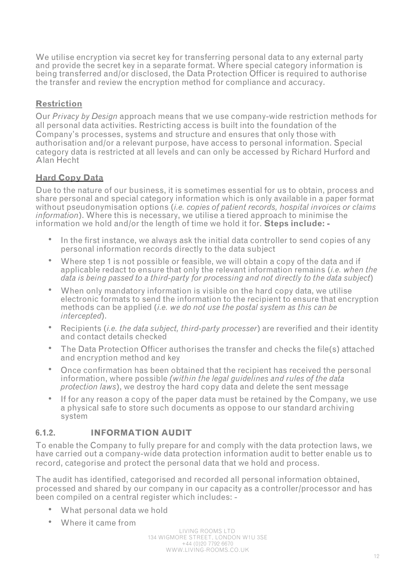We utilise encryption via secret key for transferring personal data to any external party and provide the secret key in a separate format. Where special category information is being transferred and/or disclosed, the Data Protection Officer is required to authorise the transfer and review the encryption method for compliance and accuracy.

### **Restriction**

Our *Privacy by Design* approach means that we use company-wide restriction methods for all personal data activities. Restricting access is built into the foundation of the Company's processes, systems and structure and ensures that only those with authorisation and/or a relevant purpose, have access to personal information. Special category data is restricted at all levels and can only be accessed by Richard Hurford and Alan Hecht

### **Hard Copy Data**

Due to the nature of our business, it is sometimes essential for us to obtain, process and share personal and special category information which is only available in a paper format without pseudonymisation options (*i.e. copies of patient records, hospital invoices or claims information*). Where this is necessary, we utilise a tiered approach to minimise the information we hold and/or the length of time we hold it for. **Steps include: -** 

- In the first instance, we always ask the initial data controller to send copies of any personal information records directly to the data subject
- Where step 1 is not possible or feasible, we will obtain a copy of the data and if applicable redact to ensure that only the relevant information remains (*i.e. when the data is being passed to a third-party for processing and not directly to the data subject*)
- When only mandatory information is visible on the hard copy data, we utilise electronic formats to send the information to the recipient to ensure that encryption methods can be applied (*i.e. we do not use the postal system as this can be intercepted*).
- Recipients (*i.e. the data subject, third-party processer*) are reverified and their identity and contact details checked
- The Data Protection Officer authorises the transfer and checks the file(s) attached and encryption method and key
- Once confirmation has been obtained that the recipient has received the personal information, where possible *(within the legal guidelines and rules of the data protection laws*), we destroy the hard copy data and delete the sent message
- <span id="page-11-0"></span>If for any reason a copy of the paper data must be retained by the Company, we use a physical safe to store such documents as oppose to our standard archiving system

### **6.1.2. INFORMATION AUDIT**

To enable the Company to fully prepare for and comply with the data protection laws, we have carried out a company-wide data protection information audit to better enable us to record, categorise and protect the personal data that we hold and process.

The audit has identified, categorised and recorded all personal information obtained, processed and shared by our company in our capacity as a controller/processor and has been compiled on a central register which includes: -

- What personal data we hold
- Where it came from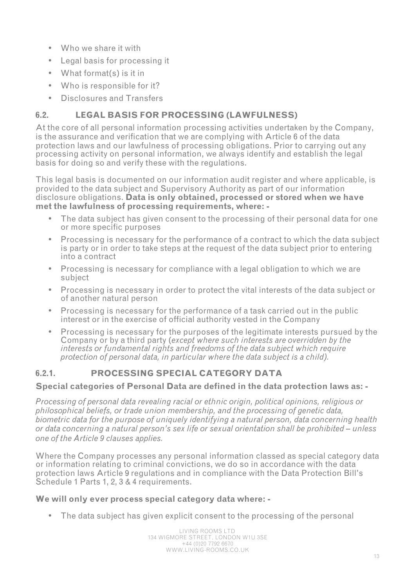- Who we share it with
- Legal basis for processing it
- What format(s) is it in
- Who is responsible for it?
- <span id="page-12-0"></span>• Disclosures and Transfers

## **6.2. LEGAL BASIS FOR PROCESSING (LAWFULNESS)**

At the core of all personal information processing activities undertaken by the Company, is the assurance and verification that we are complying with Article 6 of the data protection laws and our lawfulness of processing obligations. Prior to carrying out any processing activity on personal information, we always identify and establish the legal basis for doing so and verify these with the regulations.

This legal basis is documented on our information audit register and where applicable, is provided to the data subject and Supervisory Authority as part of our information disclosure obligations. **Data is only obtained, processed or stored when we have met the lawfulness of processing requirements, where: -**

- The data subject has given consent to the processing of their personal data for one or more specific purposes
- Processing is necessary for the performance of a contract to which the data subject is party or in order to take steps at the request of the data subject prior to entering into a contract
- Processing is necessary for compliance with a legal obligation to which we are subject
- Processing is necessary in order to protect the vital interests of the data subject or of another natural person
- Processing is necessary for the performance of a task carried out in the public interest or in the exercise of official authority vested in the Company
- Processing is necessary for the purposes of the legitimate interests pursued by the Company or by a third party (*except where such interests are overridden by the interests or fundamental rights and freedoms of the data subject which require protection of personal data, in particular where the data subject is a child).*

## <span id="page-12-1"></span>**6.2.1. PROCESSING SPECIAL CATEGORY DATA**

#### **Special categories of Personal Data are defined in the data protection laws as: -**

*Processing of personal data revealing racial or ethnic origin, political opinions, religious or philosophical beliefs, or trade union membership, and the processing of genetic data, biometric data for the purpose of uniquely identifying a natural person, data concerning health or data concerning a natural person's sex life or sexual orientation shall be prohibited – unless one of the Article 9 clauses applies.*

Where the Company processes any personal information classed as special category data or information relating to criminal convictions, we do so in accordance with the data protection laws Article 9 regulations and in compliance with the Data Protection Bill's Schedule 1 Parts 1, 2, 3 & 4 requirements.

#### **We will only ever process special category data where: -**

• The data subject has given explicit consent to the processing of the personal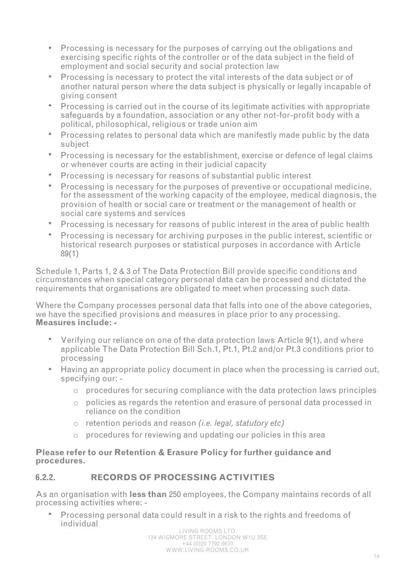- Processing is necessary for the purposes of carrying out the obligations and exercising specific rights of the controller or of the data subject in the field of employment and social security and social protection law
- Processing is necessary to protect the vital interests of the data subject or of another natural person where the data subject is physically or legally incapable of giving consent
- Processing is carried out in the course of its legitimate activities with appropriate safeguards by a foundation, association or any other not-for-profit body with a political, philosophical, religious or trade union aim
- Processing relates to personal data which are manifestly made public by the data subject
- Processing is necessary for the establishment, exercise or defence of legal claims or whenever courts are acting in their judicial capacity
- Processing is necessary for reasons of substantial public interest
- Processing is necessary for the purposes of preventive or occupational medicine, for the assessment of the working capacity of the employee, medical diagnosis, the provision of health or social care or treatment or the management of health or social care systems and services
- Processing is necessary for reasons of public interest in the area of public health
- Processing is necessary for archiving purposes in the public interest, scientific or historical research purposes or statistical purposes in accordance with Article 89(1)

Schedule 1, Parts 1, 2 & 3 of The Data Protection Bill provide specific conditions and circumstances when special category personal data can be processed and dictated the requirements that organisations are obligated to meet when processing such data.

Where the Company processes personal data that falls into one of the above categories, we have the specified provisions and measures in place prior to any processing. **Measures include: -**

- Verifying our reliance on one of the data protection laws Article 9(1), and where applicable The Data Protection Bill Sch.1, Pt.1, Pt.2 and/or Pt.3 conditions prior to processing
- Having an appropriate policy document in place when the processing is carried out, specifying our:
	- o procedures for securing compliance with the data protection laws principles
	- o policies as regards the retention and erasure of personal data processed in reliance on the condition
	- o retention periods and reason *(i.e. legal, statutory etc)*
	- o procedures for reviewing and updating our policies in this area

#### **Please refer to our Retention & Erasure Policy for further guidance and procedures.**

#### <span id="page-13-0"></span>**6.2.2. RECORDS OF PROCESSING ACTIVITIES**

As an organisation with **less than** 250 employees, the Company maintains records of all processing activities where: -

• Processing personal data could result in a risk to the rights and freedoms of individual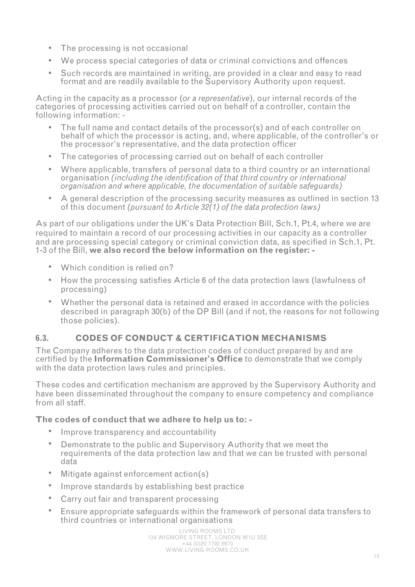- The processing is not occasional
- We process special categories of data or criminal convictions and offences
- Such records are maintained in writing, are provided in a clear and easy to read format and are readily available to the Supervisory Authority upon request.

Acting in the capacity as a processor (*or a representative*), our internal records of the categories of processing activities carried out on behalf of a controller, contain the following information: -

- The full name and contact details of the processor(s) and of each controller on behalf of which the processor is acting, and, where applicable, of the controller's or the processor's representative, and the data protection officer
- The categories of processing carried out on behalf of each controller
- Where applicable, transfers of personal data to a third country or an international organisation *(including the identification of that third country or international organisation and where applicable, the documentation of suitable safeguards)*
- A general description of the processing security measures as outlined in section 13 of this document *(pursuant to Article 32(1) of the data protection laws)*

As part of our obligations under the UK's Data Protection Bill, Sch.1, Pt.4, where we are required to maintain a record of our processing activities in our capacity as a controller and are processing special category or criminal conviction data, as specified in Sch.1, Pt. 1-3 of the Bill, **we also record the below information on the register: -**

- Which condition is relied on?
- How the processing satisfies Article 6 of the data protection laws (lawfulness of processing)
- Whether the personal data is retained and erased in accordance with the policies described in paragraph 30(b) of the DP Bill (and if not, the reasons for not following those policies).

## <span id="page-14-0"></span>**6.3. CODES OF CONDUCT & CERTIFICATION MECHANISMS**

The Company adheres to the data protection codes of conduct prepared by and are certified by the **Information Commissioner's Office** to demonstrate that we comply with the data protection laws rules and principles.

These codes and certification mechanism are approved by the Supervisory Authority and have been disseminated throughout the company to ensure competency and compliance from all staff.

### **The codes of conduct that we adhere to help us to: -**

- Improve transparency and accountability
- Demonstrate to the public and Supervisory Authority that we meet the requirements of the data protection law and that we can be trusted with personal data
- Mitigate against enforcement action(s)
- Improve standards by establishing best practice
- Carry out fair and transparent processing
- Ensure appropriate safeguards within the framework of personal data transfers to third countries or international organisations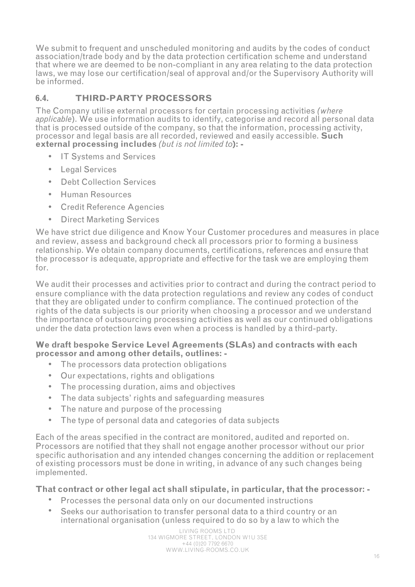We submit to frequent and unscheduled monitoring and audits by the codes of conduct association/trade body and by the data protection certification scheme and understand that where we are deemed to be non-compliant in any area relating to the data protection laws, we may lose our certification/seal of approval and/or the Supervisory Authority will be informed.

## <span id="page-15-0"></span>**6.4. THIRD-PARTY PROCESSORS**

The Company utilise external processors for certain processing activities *(where applicable*). We use information audits to identify, categorise and record all personal data that is processed outside of the company, so that the information, processing activity, processor and legal basis are all recorded, reviewed and easily accessible. **Such external processing includes** *(but is not limited to***): -** 

- **IT Systems and Services**
- Legal Services
- Debt Collection Services
- Human Resources
- Credit Reference Agencies
- Direct Marketing Services

We have strict due diligence and Know Your Customer procedures and measures in place and review, assess and background check all processors prior to forming a business relationship. We obtain company documents, certifications, references and ensure that the processor is adequate, appropriate and effective for the task we are employing them for.

We audit their processes and activities prior to contract and during the contract period to ensure compliance with the data protection regulations and review any codes of conduct that they are obligated under to confirm compliance. The continued protection of the rights of the data subjects is our priority when choosing a processor and we understand the importance of outsourcing processing activities as well as our continued obligations under the data protection laws even when a process is handled by a third-party.

#### **We draft bespoke Service Level Agreements (SLAs) and contracts with each processor and among other details, outlines: -**

- The processors data protection obligations
- Our expectations, rights and obligations
- The processing duration, aims and objectives
- The data subjects' rights and safeguarding measures
- The nature and purpose of the processing
- The type of personal data and categories of data subjects

Each of the areas specified in the contract are monitored, audited and reported on. Processors are notified that they shall not engage another processor without our prior specific authorisation and any intended changes concerning the addition or replacement of existing processors must be done in writing, in advance of any such changes being implemented.

#### **That contract or other legal act shall stipulate, in particular, that the processor: -**

- Processes the personal data only on our documented instructions
- Seeks our authorisation to transfer personal data to a third country or an international organisation (unless required to do so by a law to which the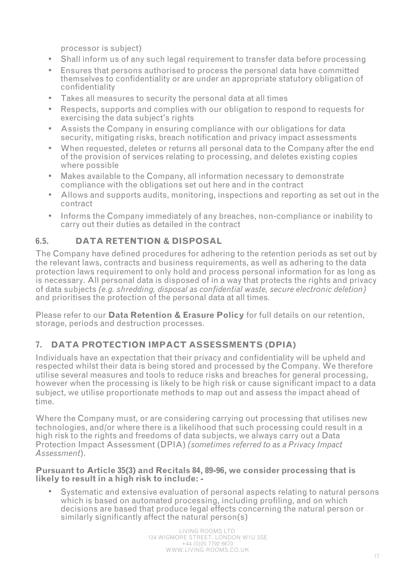processor is subject)

- Shall inform us of any such legal requirement to transfer data before processing
- Ensures that persons authorised to process the personal data have committed themselves to confidentiality or are under an appropriate statutory obligation of confidentiality
- Takes all measures to security the personal data at all times
- Respects, supports and complies with our obligation to respond to requests for exercising the data subject's rights
- Assists the Company in ensuring compliance with our obligations for data security, mitigating risks, breach notification and privacy impact assessments
- When requested, deletes or returns all personal data to the Company after the end of the provision of services relating to processing, and deletes existing copies where possible
- Makes available to the Company, all information necessary to demonstrate compliance with the obligations set out here and in the contract
- Allows and supports audits, monitoring, inspections and reporting as set out in the contract
- <span id="page-16-0"></span>• Informs the Company immediately of any breaches, non-compliance or inability to carry out their duties as detailed in the contract

## **6.5. DATA RETENTION & DISPOSAL**

The Company have defined procedures for adhering to the retention periods as set out by the relevant laws, contracts and business requirements, as well as adhering to the data protection laws requirement to only hold and process personal information for as long as is necessary. All personal data is disposed of in a way that protects the rights and privacy of data subjects *(e.g. shredding, disposal as confidential waste, secure electronic deletion)*  and prioritises the protection of the personal data at all times*.*

Please refer to our **Data Retention & Erasure Policy** for full details on our retention, storage, periods and destruction processes.

## <span id="page-16-1"></span>**7. DATA PROTECTION IMPACT ASSESSMENTS (DPIA)**

Individuals have an expectation that their privacy and confidentiality will be upheld and respected whilst their data is being stored and processed by the Company. We therefore utilise several measures and tools to reduce risks and breaches for general processing, however when the processing is likely to be high risk or cause significant impact to a data subject, we utilise proportionate methods to map out and assess the impact ahead of time.

Where the Company must, or are considering carrying out processing that utilises new technologies, and/or where there is a likelihood that such processing could result in a high risk to the rights and freedoms of data subjects, we always carry out a Data Protection Impact Assessment (DPIA) *(sometimes referred to as a Privacy Impact Assessment*).

#### **Pursuant to Article 35(3) and Recitals 84, 89-96, we consider processing that is likely to result in a high risk to include: -**

Systematic and extensive evaluation of personal aspects relating to natural persons which is based on automated processing, including profiling, and on which decisions are based that produce legal effects concerning the natural person or similarly significantly affect the natural person(s)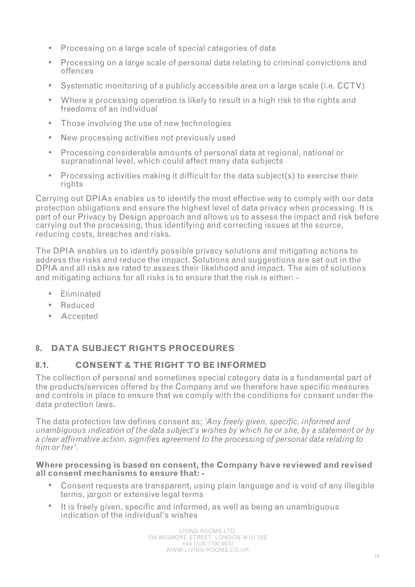- Processing on a large scale of special categories of data
- Processing on a large scale of personal data relating to criminal convictions and offences
- Systematic monitoring of a publicly accessible area on a large scale (i.e. CCTV)
- Where a processing operation is likely to result in a high risk to the rights and freedoms of an individual
- Those involving the use of new technologies
- New processing activities not previously used
- Processing considerable amounts of personal data at regional, national or supranational level, which could affect many data subjects
- Processing activities making it difficult for the data subject(s) to exercise their rights

Carrying out DPIAs enables us to identify the most effective way to comply with our data protection obligations and ensure the highest level of data privacy when processing. It is part of our Privacy by Design approach and allows us to assess the impact and risk before carrying out the processing, thus identifying and correcting issues at the source, reducing costs, breaches and risks.

The DPIA enables us to identify possible privacy solutions and mitigating actions to address the risks and reduce the impact. Solutions and suggestions are set out in the DPIA and all risks are rated to assess their likelihood and impact. The aim of solutions and mitigating actions for all risks is to ensure that the risk is either: -

- **Fliminated**
- Reduced
- Accepted

## <span id="page-17-0"></span>**8. DATA SUBJECT RIGHTS PROCEDURES**

### <span id="page-17-1"></span>**8.1. CONSENT & THE RIGHT TO BE INFORMED**

The collection of personal and sometimes special category data is a fundamental part of the products/services offered by the Company and we therefore have specific measures and controls in place to ensure that we comply with the conditions for consent under the data protection laws.

The data protection law defines consent as; *'Any freely given, specific, informed and unambiguous indication of the data subject's wishes by which he or she, by a statement or by a clear affirmative action, signifies agreement to the processing of personal data relating to him or her'.*

#### **Where processing is based on consent, the Company have reviewed and revised all consent mechanisms to ensure that: -**

- Consent requests are transparent, using plain language and is void of any illegible terms, jargon or extensive legal terms
- It is freely given, specific and informed, as well as being an unambiguous indication of the individual's wishes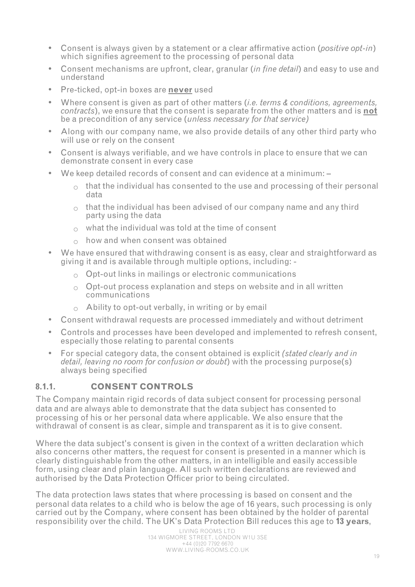- Consent is always given by a statement or a clear affirmative action (*positive opt-in*) which signifies agreement to the processing of personal data
- Consent mechanisms are upfront, clear, granular (*in fine detail*) and easy to use and understand
- Pre-ticked, opt-in boxes are **never** used
- Where consent is given as part of other matters (*i.e. terms & conditions, agreements, contracts*), we ensure that the consent is separate from the other matters and is **not** be a precondition of any service (*unless necessary for that service)*
- Along with our company name, we also provide details of any other third party who will use or rely on the consent
- Consent is always verifiable, and we have controls in place to ensure that we can demonstrate consent in every case
- We keep detailed records of consent and can evidence at a minimum:
	- $\circ$  that the individual has consented to the use and processing of their personal data
	- $\circ$  that the individual has been advised of our company name and any third party using the data
	- $\circ$  what the individual was told at the time of consent
	- $\circ$  how and when consent was obtained
- We have ensured that withdrawing consent is as easy, clear and straightforward as giving it and is available through multiple options, including: -
	- Opt-out links in mailings or electronic communications
	- $\circ$  Opt-out process explanation and steps on website and in all written communications
	- $\circ$  Ability to opt-out verbally, in writing or by email
- Consent withdrawal requests are processed immediately and without detriment
- Controls and processes have been developed and implemented to refresh consent, especially those relating to parental consents
- <span id="page-18-0"></span>• For special category data, the consent obtained is explicit *(stated clearly and in detail, leaving no room for confusion or doubt*) with the processing purpose(s) always being specified

### **8.1.1. CONSENT CONTROLS**

The Company maintain rigid records of data subject consent for processing personal data and are always able to demonstrate that the data subject has consented to processing of his or her personal data where applicable. We also ensure that the withdrawal of consent is as clear, simple and transparent as it is to give consent.

Where the data subject's consent is given in the context of a written declaration which also concerns other matters, the request for consent is presented in a manner which is clearly distinguishable from the other matters, in an intelligible and easily accessible form, using clear and plain language. All such written declarations are reviewed and authorised by the Data Protection Officer prior to being circulated.

The data protection laws states that where processing is based on consent and the personal data relates to a child who is below the age of 16 years, such processing is only carried out by the Company, where consent has been obtained by the holder of parental responsibility over the child. The UK's Data Protection Bill reduces this age to **13 years**,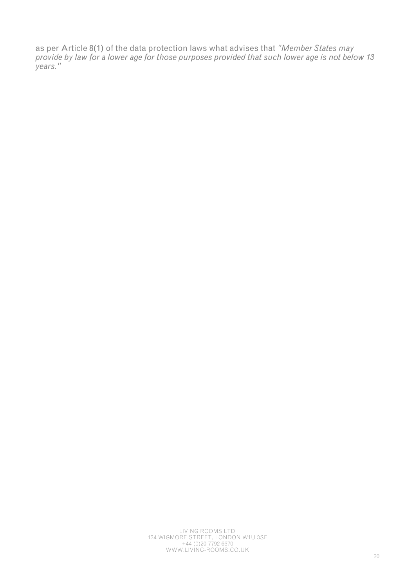as per Article 8(1) of the data protection laws what advises that *"Member States may provide by law for a lower age for those purposes provided that such lower age is not below 13 years."*

> LIVING ROOMS LTD 134 WIGMORE STREET, LONDON W1U 3SE +44 (0)20 7792 6670 WWW.LIVING-ROOMS.CO.UK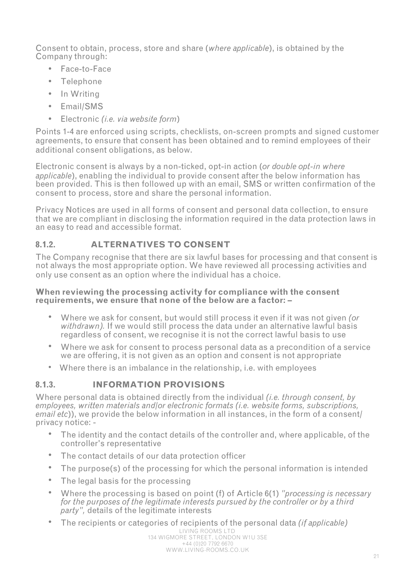Consent to obtain, process, store and share (*where applicable*), is obtained by the Company through:

- Face-to-Face
- Telephone
- In Writing
- Email/SMS
- Electronic *(i.e. via website form*)

Points 1-4 are enforced using scripts, checklists, on-screen prompts and signed customer agreements, to ensure that consent has been obtained and to remind employees of their additional consent obligations, as below.

Electronic consent is always by a non-ticked, opt-in action (*or double opt-in where applicable*), enabling the individual to provide consent after the below information has been provided. This is then followed up with an email. SMS or written confirmation of the consent to process, store and share the personal information.

Privacy Notices are used in all forms of consent and personal data collection, to ensure that we are compliant in disclosing the information required in the data protection laws in an easy to read and accessible format.

## <span id="page-20-0"></span>**8.1.2. ALTERNATIVES TO CONSENT**

The Company recognise that there are six lawful bases for processing and that consent is not always the most appropriate option. We have reviewed all processing activities and only use consent as an option where the individual has a choice.

#### **When reviewing the processing activity for compliance with the consent requirements, we ensure that none of the below are a factor: –**

- Where we ask for consent, but would still process it even if it was not given *(or withdrawn).* If we would still process the data under an alternative lawful basis regardless of consent, we recognise it is not the correct lawful basis to use
- Where we ask for consent to process personal data as a precondition of a service we are offering, it is not given as an option and consent is not appropriate
- <span id="page-20-1"></span>• Where there is an imbalance in the relationship, i.e. with employees

## **8.1.3. INFORMATION PROVISIONS**

Where personal data is obtained directly from the individual *(i.e. through consent, by employees, written materials and/or electronic formats (i.e. website forms, subscriptions, email etc*)), we provide the below information in all instances, in the form of a consent/ privacy notice: -

- The identity and the contact details of the controller and, where applicable, of the controller's representative
- The contact details of our data protection officer
- The purpose(s) of the processing for which the personal information is intended
- The legal basis for the processing
- Where the processing is based on point (f) of Article 6(1) *"processing is necessary for the purposes of the legitimate interests pursued by the controller or by a third party",* details of the legitimate interests
- The recipients or categories of recipients of the personal data *(if applicable)*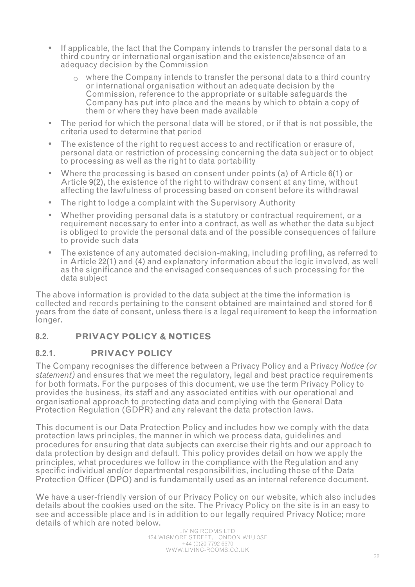- If applicable, the fact that the Company intends to transfer the personal data to a third country or international organisation and the existence/absence of an adequacy decision by the Commission
	- $\circ$  where the Company intends to transfer the personal data to a third country or international organisation without an adequate decision by the Commission, reference to the appropriate or suitable safeguards the Company has put into place and the means by which to obtain a copy of them or where they have been made available
- The period for which the personal data will be stored, or if that is not possible, the criteria used to determine that period
- The existence of the right to request access to and rectification or erasure of, personal data or restriction of processing concerning the data subject or to object to processing as well as the right to data portability
- Where the processing is based on consent under points (a) of Article 6(1) or Article 9(2), the existence of the right to withdraw consent at any time, without affecting the lawfulness of processing based on consent before its withdrawal
- The right to lodge a complaint with the Supervisory Authority
- Whether providing personal data is a statutory or contractual requirement, or a requirement necessary to enter into a contract, as well as whether the data subject is obliged to provide the personal data and of the possible consequences of failure to provide such data
- The existence of any automated decision-making, including profiling, as referred to in Article 22(1) and (4) and explanatory information about the logic involved, as well as the significance and the envisaged consequences of such processing for the data subject

The above information is provided to the data subject at the time the information is collected and records pertaining to the consent obtained are maintained and stored for 6 years from the date of consent, unless there is a legal requirement to keep the information longer.

### <span id="page-21-0"></span>**8.2. PRIVACY POLICY & NOTICES**

## <span id="page-21-1"></span>**8.2.1. PRIVACY POLICY**

The Company recognises the difference between a Privacy Policy and a Privacy *Notice (or statement)* and ensures that we meet the regulatory, legal and best practice requirements for both formats. For the purposes of this document, we use the term Privacy Policy to provides the business, its staff and any associated entities with our operational and organisational approach to protecting data and complying with the General Data Protection Regulation (GDPR) and any relevant the data protection laws.

This document is our Data Protection Policy and includes how we comply with the data protection laws principles, the manner in which we process data, guidelines and procedures for ensuring that data subjects can exercise their rights and our approach to data protection by design and default. This policy provides detail on how we apply the principles, what procedures we follow in the compliance with the Regulation and any specific individual and/or departmental responsibilities, including those of the Data Protection Officer (DPO) and is fundamentally used as an internal reference document.

We have a user-friendly version of our Privacy Policy on our website, which also includes details about the cookies used on the site. The Privacy Policy on the site is in an easy to see and accessible place and is in addition to our legally required Privacy Notice; more details of which are noted below.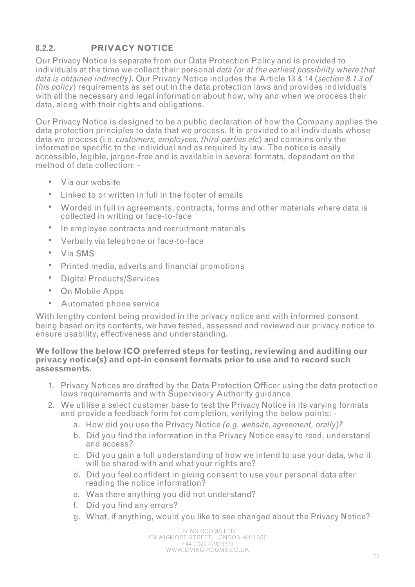## <span id="page-22-0"></span>**8.2.2. PRIVACY NOTICE**

Our Privacy Notice is separate from our Data Protection Policy and is provided to individuals at the time we collect their personal *data (or at the earliest possibility where that data is obtained indirectly)*. Our Privacy Notice includes the Article 13 & 14 (*section 8.1.3 of this policy*) requirements as set out in the data protection laws and provides individuals with all the necessary and legal information about how, why and when we process their data, along with their rights and obligations.

Our Privacy Notice is designed to be a public declaration of how the Company applies the data protection principles to data that we process. It is provided to all individuals whose data we process (i*.e. customers, employees, third-parties etc*) and contains only the information specific to the individual and as required by law. The notice is easily accessible, legible, jargon-free and is available in several formats, dependant on the method of data collection: -

- Via our website
- Linked to or written in full in the footer of emails
- Worded in full in agreements, contracts, forms and other materials where data is collected in writing or face-to-face
- In employee contracts and recruitment materials
- Verbally via telephone or face-to-face
- Via SMS
- Printed media, adverts and financial promotions
- Digital Products/Services
- On Mobile Apps
- Automated phone service

With lengthy content being provided in the privacy notice and with informed consent being based on its contents, we have tested, assessed and reviewed our privacy notice to ensure usability, effectiveness and understanding.

#### **We follow the below ICO preferred steps for testing, reviewing and auditing our privacy notice(s) and opt-in consent formats prior to use and to record such assessments.**

- 1. Privacy Notices are drafted by the Data Protection Officer using the data protection laws requirements and with Supervisory Authority quidance
- 2. We utilise a select customer base to test the Privacy Notice in its varying formats and provide a feedback form for completion, verifying the below points:
	- a. How did you use the Privacy Notice *(e.g. website, agreement, orally)?*
	- b. Did you find the information in the Privacy Notice easy to read, understand and access?
	- c. Did you gain a full understanding of how we intend to use your data, who it will be shared with and what your rights are?
	- d. Did you feel confident in giving consent to use your personal data after reading the notice information?
	- e. Was there anything you did not understand?
	- f. Did you find any errors?
	- g. What, if anything, would you like to see changed about the Privacy Notice?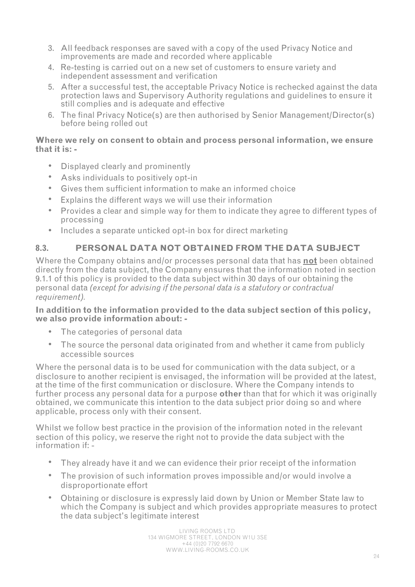- 3. All feedback responses are saved with a copy of the used Privacy Notice and improvements are made and recorded where applicable
- 4. Re-testing is carried out on a new set of customers to ensure variety and independent assessment and verification
- 5. After a successful test, the acceptable Privacy Notice is rechecked against the data protection laws and Supervisory Authority regulations and guidelines to ensure it still complies and is adequate and effective
- 6. The final Privacy Notice(s) are then authorised by Senior Management/Director(s) before being rolled out

#### **Where we rely on consent to obtain and process personal information, we ensure that it is: -**

- Displayed clearly and prominently
- Asks individuals to positively opt-in
- Gives them sufficient information to make an informed choice
- Explains the different ways we will use their information
- Provides a clear and simple way for them to indicate they agree to different types of processing
- <span id="page-23-0"></span>• Includes a separate unticked opt-in box for direct marketing

## **8.3. PERSONAL DATA NOT OBTAINED FROM THE DATA SUBJECT**

Where the Company obtains and/or processes personal data that has **not** been obtained directly from the data subject, the Company ensures that the information noted in section 9.1.1 of this policy is provided to the data subject within 30 days of our obtaining the personal data *(except for advising if the personal data is a statutory or contractual requirement).*

#### **In addition to the information provided to the data subject section of this policy, we also provide information about: -**

- The categories of personal data
- The source the personal data originated from and whether it came from publicly accessible sources

Where the personal data is to be used for communication with the data subject, or a disclosure to another recipient is envisaged, the information will be provided at the latest, at the time of the first communication or disclosure. Where the Company intends to further process any personal data for a purpose **other** than that for which it was originally obtained, we communicate this intention to the data subject prior doing so and where applicable, process only with their consent.

Whilst we follow best practice in the provision of the information noted in the relevant section of this policy, we reserve the right not to provide the data subject with the information if: -

- They already have it and we can evidence their prior receipt of the information
- The provision of such information proves impossible and/or would involve a disproportionate effort
- Obtaining or disclosure is expressly laid down by Union or Member State law to which the Company is subject and which provides appropriate measures to protect the data subject's legitimate interest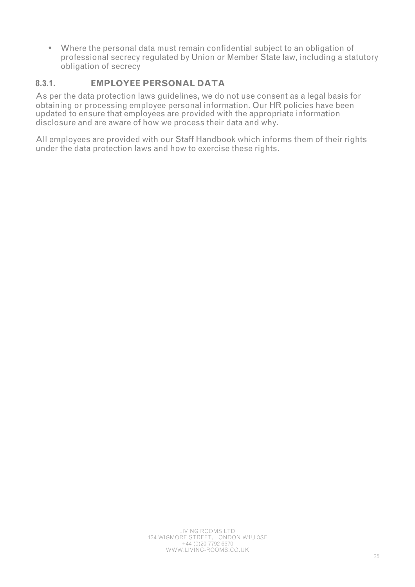• Where the personal data must remain confidential subject to an obligation of professional secrecy regulated by Union or Member State law, including a statutory obligation of secrecy

#### <span id="page-24-0"></span>**8.3.1. EMPLOYEE PERSONAL DATA**

As per the data protection laws guidelines, we do not use consent as a legal basis for obtaining or processing employee personal information. Our HR policies have been updated to ensure that employees are provided with the appropriate information disclosure and are aware of how we process their data and why.

All employees are provided with our Staff Handbook which informs them of their rights under the data protection laws and how to exercise these rights.

> LIVING ROOMS LTD 134 WIGMORE STREET, LONDON W1U 3SE +44 (0)20 7792 6670 WWW.LIVING-ROOMS.CO.UK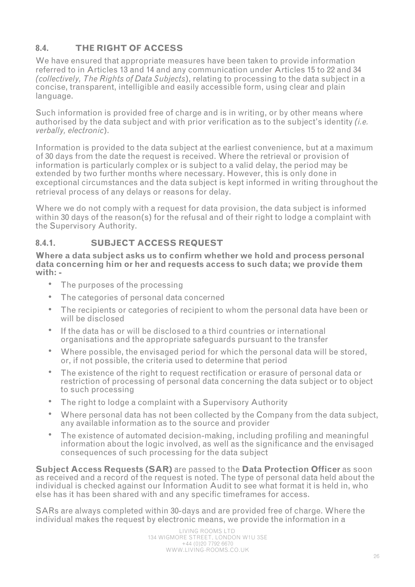## <span id="page-25-0"></span>**8.4. THE RIGHT OF ACCESS**

We have ensured that appropriate measures have been taken to provide information referred to in Articles 13 and 14 and any communication under Articles 15 to 22 and 34 *(collectively, The Rights of Data Subjects*), relating to processing to the data subject in a concise, transparent, intelligible and easily accessible form, using clear and plain language.

Such information is provided free of charge and is in writing, or by other means where authorised by the data subject and with prior verification as to the subject's identity *(i.e. verbally, electronic*).

Information is provided to the data subject at the earliest convenience, but at a maximum of 30 days from the date the request is received. Where the retrieval or provision of information is particularly complex or is subject to a valid delay, the period may be extended by two further months where necessary. However, this is only done in exceptional circumstances and the data subject is kept informed in writing throughout the retrieval process of any delays or reasons for delay.

Where we do not comply with a request for data provision, the data subject is informed within 30 days of the reason(s) for the refusal and of their right to lodge a complaint with the Supervisory Authority.

### <span id="page-25-1"></span>**8.4.1. SUBJECT ACCESS REQUEST**

**Where a data subject asks us to confirm whether we hold and process personal data concerning him or her and requests access to such data; we provide them with: -** 

- The purposes of the processing
- The categories of personal data concerned
- The recipients or categories of recipient to whom the personal data have been or will be disclosed
- If the data has or will be disclosed to a third countries or international organisations and the appropriate safeguards pursuant to the transfer
- Where possible, the envisaged period for which the personal data will be stored, or, if not possible, the criteria used to determine that period
- The existence of the right to request rectification or erasure of personal data or restriction of processing of personal data concerning the data subject or to object to such processing
- The right to lodge a complaint with a Supervisory Authority
- Where personal data has not been collected by the Company from the data subject, any available information as to the source and provider
- The existence of automated decision-making, including profiling and meaningful information about the logic involved, as well as the significance and the envisaged consequences of such processing for the data subject

**Subject Access Requests (SAR)** are passed to the **Data Protection Officer** as soon as received and a record of the request is noted. The type of personal data held about the individual is checked against our Information Audit to see what format it is held in, who else has it has been shared with and any specific timeframes for access.

SARs are always completed within 30-days and are provided free of charge. Where the individual makes the request by electronic means, we provide the information in a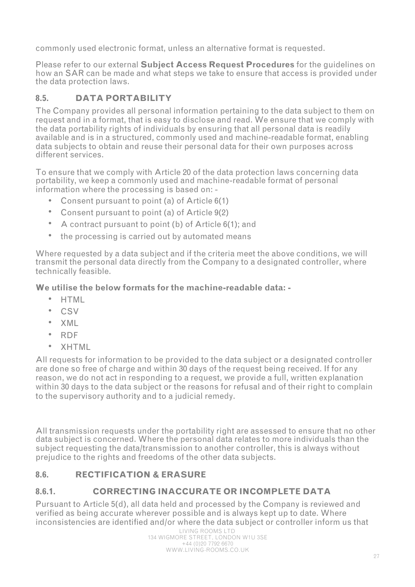commonly used electronic format, unless an alternative format is requested.

Please refer to our external **Subject Access Request Procedures** for the guidelines on how an SAR can be made and what steps we take to ensure that access is provided under the data protection laws.

## <span id="page-26-0"></span>**8.5. DATA PORTABILITY**

The Company provides all personal information pertaining to the data subject to them on request and in a format, that is easy to disclose and read. We ensure that we comply with the data portability rights of individuals by ensuring that all personal data is readily available and is in a structured, commonly used and machine-readable format, enabling data subjects to obtain and reuse their personal data for their own purposes across different services.

To ensure that we comply with Article 20 of the data protection laws concerning data portability, we keep a commonly used and machine-readable format of personal information where the processing is based on: -

- Consent pursuant to point (a) of Article 6(1)
- Consent pursuant to point (a) of Article 9(2)
- A contract pursuant to point (b) of Article 6(1); and
- the processing is carried out by automated means

Where requested by a data subject and if the criteria meet the above conditions, we will transmit the personal data directly from the Company to a designated controller, where technically feasible.

#### **We utilise the below formats for the machine-readable data: -**

- HTML
- CSV
- XML
- RDF
- XHTML

All requests for information to be provided to the data subject or a designated controller are done so free of charge and within 30 days of the request being received. If for any reason, we do not act in responding to a request, we provide a full, written explanation within 30 days to the data subject or the reasons for refusal and of their right to complain to the supervisory authority and to a judicial remedy.

All transmission requests under the portability right are assessed to ensure that no other data subject is concerned. Where the personal data relates to more individuals than the subject requesting the data/transmission to another controller, this is always without prejudice to the rights and freedoms of the other data subjects.

### <span id="page-26-1"></span>**8.6. RECTIFICATION & ERASURE**

## <span id="page-26-2"></span>**8.6.1. CORRECTING INACCURATE OR INCOMPLETE DATA**

Pursuant to Article 5(d), all data held and processed by the Company is reviewed and verified as being accurate wherever possible and is always kept up to date. Where inconsistencies are identified and/or where the data subject or controller inform us that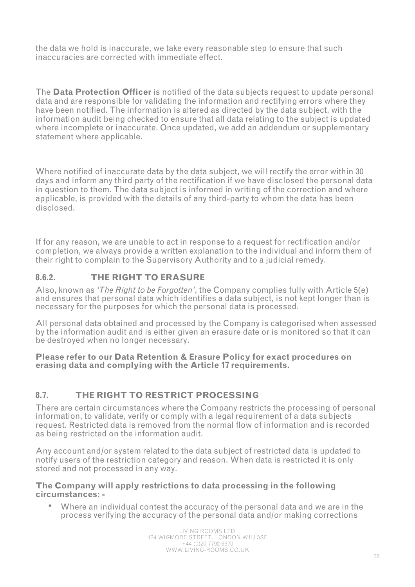the data we hold is inaccurate, we take every reasonable step to ensure that such inaccuracies are corrected with immediate effect.

The **Data Protection Officer** is notified of the data subjects request to update personal data and are responsible for validating the information and rectifying errors where they have been notified. The information is altered as directed by the data subject, with the information audit being checked to ensure that all data relating to the subject is updated where incomplete or inaccurate. Once updated, we add an addendum or supplementary statement where applicable.

Where notified of inaccurate data by the data subject, we will rectify the error within 30 days and inform any third party of the rectification if we have disclosed the personal data in question to them. The data subject is informed in writing of the correction and where applicable, is provided with the details of any third-party to whom the data has been disclosed.

If for any reason, we are unable to act in response to a request for rectification and/or completion, we always provide a written explanation to the individual and inform them of their right to complain to the Supervisory Authority and to a judicial remedy.

### <span id="page-27-0"></span>**8.6.2. THE RIGHT TO ERASURE**

Also, known as *'The Right to be Forgotten'*, the Company complies fully with Article 5(e) and ensures that personal data which identifies a data subject, is not kept longer than is necessary for the purposes for which the personal data is processed.

All personal data obtained and processed by the Company is categorised when assessed by the information audit and is either given an erasure date or is monitored so that it can be destroyed when no longer necessary.

**Please refer to our Data Retention & Erasure Policy for exact procedures on erasing data and complying with the Article 17 requirements.** 

### <span id="page-27-1"></span>**8.7. THE RIGHT TO RESTRICT PROCESSING**

There are certain circumstances where the Company restricts the processing of personal information, to validate, verify or comply with a legal requirement of a data subjects request. Restricted data is removed from the normal flow of information and is recorded as being restricted on the information audit.

Any account and/or system related to the data subject of restricted data is updated to notify users of the restriction category and reason. When data is restricted it is only stored and not processed in any way.

#### **The Company will apply restrictions to data processing in the following circumstances: -**

• Where an individual contest the accuracy of the personal data and we are in the process verifying the accuracy of the personal data and/or making corrections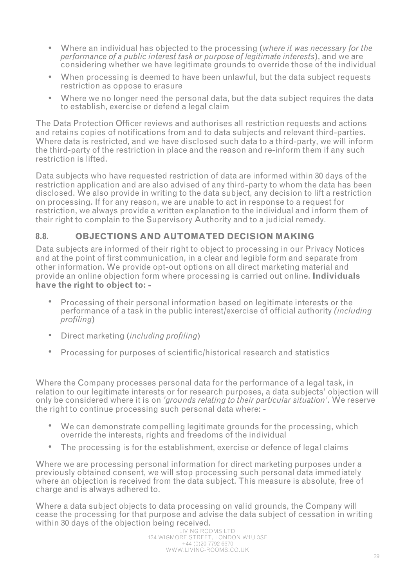- Where an individual has objected to the processing (*where it was necessary for the performance of a public interest task or purpose of legitimate interests*), and we are considering whether we have legitimate grounds to override those of the individual
- When processing is deemed to have been unlawful, but the data subject requests restriction as oppose to erasure
- Where we no longer need the personal data, but the data subject requires the data to establish, exercise or defend a legal claim

The Data Protection Officer reviews and authorises all restriction requests and actions and retains copies of notifications from and to data subjects and relevant third-parties. Where data is restricted, and we have disclosed such data to a third-party, we will inform the third-party of the restriction in place and the reason and re-inform them if any such restriction is lifted.

Data subjects who have requested restriction of data are informed within 30 days of the restriction application and are also advised of any third-party to whom the data has been disclosed. We also provide in writing to the data subject, any decision to lift a restriction on processing. If for any reason, we are unable to act in response to a request for restriction, we always provide a written explanation to the individual and inform them of their right to complain to the Supervisory Authority and to a judicial remedy.

#### <span id="page-28-0"></span>**8.8. OBJECTIONS AND AUTOMATED DECISION MAKING**

Data subjects are informed of their right to object to processing in our Privacy Notices and at the point of first communication, in a clear and legible form and separate from other information. We provide opt-out options on all direct marketing material and provide an online objection form where processing is carried out online. **Individuals have the right to object to: -**

- Processing of their personal information based on legitimate interests or the performance of a task in the public interest/exercise of official authority *(including profiling*)
- Direct marketing (*including profiling*)
- Processing for purposes of scientific/historical research and statistics

Where the Company processes personal data for the performance of a legal task, in relation to our legitimate interests or for research purposes, a data subjects' objection will only be considered where it is on *'grounds relating to their particular situation'*. We reserve the right to continue processing such personal data where: -

- We can demonstrate compelling legitimate grounds for the processing, which override the interests, rights and freedoms of the individual
- The processing is for the establishment, exercise or defence of legal claims

Where we are processing personal information for direct marketing purposes under a previously obtained consent, we will stop processing such personal data immediately where an objection is received from the data subject. This measure is absolute, free of charge and is always adhered to.

Where a data subject objects to data processing on valid grounds, the Company will cease the processing for that purpose and advise the data subject of cessation in writing within 30 days of the objection being received.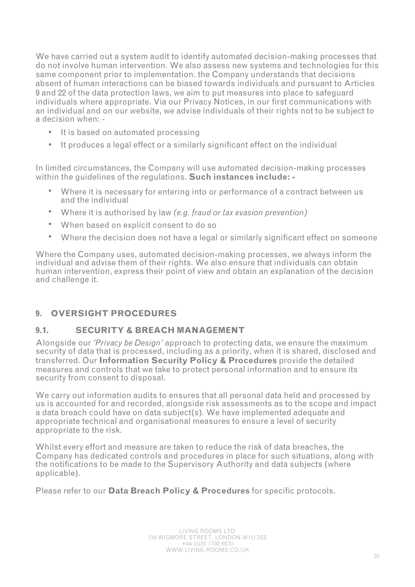We have carried out a system audit to identify automated decision-making processes that do not involve human intervention. We also assess new systems and technologies for this same component prior to implementation. the Company understands that decisions absent of human interactions can be biased towards individuals and pursuant to Articles 9 and 22 of the data protection laws, we aim to put measures into place to safeguard individuals where appropriate. Via our Privacy Notices, in our first communications with an individual and on our website, we advise individuals of their rights not to be subject to a decision when: -

- It is based on automated processing
- It produces a legal effect or a similarly significant effect on the individual

In limited circumstances, the Company will use automated decision-making processes within the guidelines of the regulations. **Such instances include: -** 

- Where it is necessary for entering into or performance of a contract between us and the individual
- Where it is authorised by law *(e.g. fraud or tax evasion prevention)*
- When based on explicit consent to do so
- Where the decision does not have a legal or similarly significant effect on someone

Where the Company uses, automated decision-making processes, we always inform the individual and advise them of their rights. We also ensure that individuals can obtain human intervention, express their point of view and obtain an explanation of the decision and challenge it.

## <span id="page-29-0"></span>**9. OVERSIGHT PROCEDURES**

#### <span id="page-29-1"></span>**9.1. SECURITY & BREACH MANAGEMENT**

Alongside our *'Privacy be Design'* approach to protecting data, we ensure the maximum security of data that is processed, including as a priority, when it is shared, disclosed and transferred. Our **Information Security Policy & Procedures** provide the detailed measures and controls that we take to protect personal information and to ensure its security from consent to disposal.

We carry out information audits to ensures that all personal data held and processed by us is accounted for and recorded, alongside risk assessments as to the scope and impact a data breach could have on data subject(s). We have implemented adequate and appropriate technical and organisational measures to ensure a level of security appropriate to the risk.

Whilst every effort and measure are taken to reduce the risk of data breaches, the Company has dedicated controls and procedures in place for such situations, along with the notifications to be made to the Supervisory Authority and data subjects (where applicable).

Please refer to our **Data Breach Policy & Procedures** for specific protocols.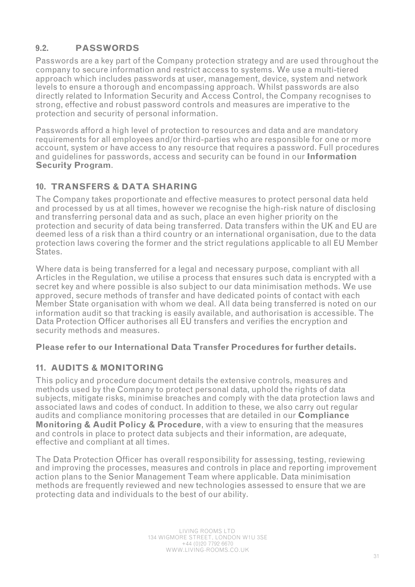### <span id="page-30-0"></span>**9.2. PASSWORDS**

Passwords are a key part of the Company protection strategy and are used throughout the company to secure information and restrict access to systems. We use a multi-tiered approach which includes passwords at user, management, device, system and network levels to ensure a thorough and encompassing approach. Whilst passwords are also directly related to Information Security and Access Control, the Company recognises to strong, effective and robust password controls and measures are imperative to the protection and security of personal information.

Passwords afford a high level of protection to resources and data and are mandatory requirements for all employees and/or third-parties who are responsible for one or more account, system or have access to any resource that requires a password. Full procedures and guidelines for passwords, access and security can be found in our **Information Security Program**.

### <span id="page-30-1"></span>**10. TRANSFERS & DATA SHARING**

The Company takes proportionate and effective measures to protect personal data held and processed by us at all times, however we recognise the high-risk nature of disclosing and transferring personal data and as such, place an even higher priority on the protection and security of data being transferred. Data transfers within the UK and EU are deemed less of a risk than a third country or an international organisation, due to the data protection laws covering the former and the strict regulations applicable to all EU Member States.

Where data is being transferred for a legal and necessary purpose, compliant with all Articles in the Regulation, we utilise a process that ensures such data is encrypted with a secret key and where possible is also subject to our data minimisation methods. We use approved, secure methods of transfer and have dedicated points of contact with each Member State organisation with whom we deal. All data being transferred is noted on our information audit so that tracking is easily available, and authorisation is accessible. The Data Protection Officer authorises all EU transfers and verifies the encryption and security methods and measures.

#### **Please refer to our International Data Transfer Procedures for further details.**

## <span id="page-30-2"></span>**11. AUDITS & MONITORING**

This policy and procedure document details the extensive controls, measures and methods used by the Company to protect personal data, uphold the rights of data subjects, mitigate risks, minimise breaches and comply with the data protection laws and associated laws and codes of conduct. In addition to these, we also carry out regular audits and compliance monitoring processes that are detailed in our **Compliance Monitoring & Audit Policy & Procedure**, with a view to ensuring that the measures and controls in place to protect data subjects and their information, are adequate, effective and compliant at all times.

The Data Protection Officer has overall responsibility for assessing, testing, reviewing and improving the processes, measures and controls in place and reporting improvement action plans to the Senior Management Team where applicable. Data minimisation methods are frequently reviewed and new technologies assessed to ensure that we are protecting data and individuals to the best of our ability.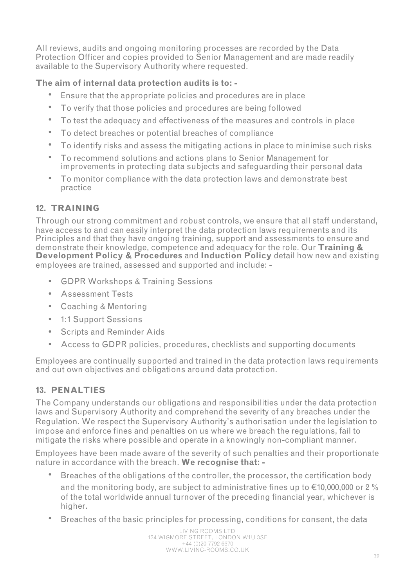All reviews, audits and ongoing monitoring processes are recorded by the Data Protection Officer and copies provided to Senior Management and are made readily available to the Supervisory Authority where requested.

## **The aim of internal data protection audits is to: -**

- Ensure that the appropriate policies and procedures are in place
- To verify that those policies and procedures are being followed
- To test the adequacy and effectiveness of the measures and controls in place
- To detect breaches or potential breaches of compliance
- To identify risks and assess the mitigating actions in place to minimise such risks
- To recommend solutions and actions plans to Senior Management for improvements in protecting data subjects and safeguarding their personal data
- To monitor compliance with the data protection laws and demonstrate best practice

### <span id="page-31-0"></span>**12. TRAINING**

Through our strong commitment and robust controls, we ensure that all staff understand, have access to and can easily interpret the data protection laws requirements and its Principles and that they have ongoing training, support and assessments to ensure and demonstrate their knowledge, competence and adequacy for the role. Our **Training & Development Policy & Procedures** and **Induction Policy** detail how new and existing employees are trained, assessed and supported and include: -

- GDPR Workshops & Training Sessions
- Assessment Tests
- Coaching & Mentoring
- 1:1 Support Sessions
- Scripts and Reminder Aids
- Access to GDPR policies, procedures, checklists and supporting documents

Employees are continually supported and trained in the data protection laws requirements and out own objectives and obligations around data protection.

## <span id="page-31-1"></span>**13. PENALTIES**

The Company understands our obligations and responsibilities under the data protection laws and Supervisory Authority and comprehend the severity of any breaches under the Regulation. We respect the Supervisory Authority's authorisation under the legislation to impose and enforce fines and penalties on us where we breach the regulations, fail to mitigate the risks where possible and operate in a knowingly non-compliant manner.

Employees have been made aware of the severity of such penalties and their proportionate nature in accordance with the breach. **We recognise that: -**

- Breaches of the obligations of the controller, the processor, the certification body and the monitoring body, are subject to administrative fines up to  $\epsilon$ 10,000,000 or 2 % of the total worldwide annual turnover of the preceding financial year, whichever is higher.
- Breaches of the basic principles for processing, conditions for consent, the data